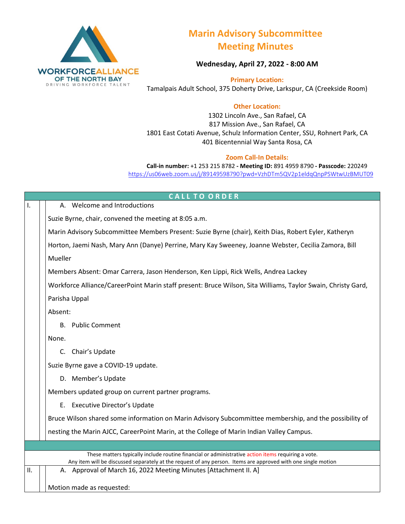

## **Marin Advisory Subcommittee Meeting Minutes**

**Wednesday, April 27, 2022 - 8:00 AM**

**Primary Location:**  Tamalpais Adult School, 375 Doherty Drive, Larkspur, CA (Creekside Room)

## **Other Location:**

1302 Lincoln Ave., San Rafael, CA 817 Mission Ave., San Rafael, CA 1801 East Cotati Avenue, Schulz Information Center, SSU, Rohnert Park, CA 401 Bicentennial Way Santa Rosa, CA

## **Zoom Call-In Details:**

**Call-in number:** +1 253 215 8782 **- Meeting ID:** 891 4959 8790 **- Passcode:** 220249 <https://us06web.zoom.us/j/89149598790?pwd=VzhDTm5QV2p1eldqQnpPSWtwUzBMUT09>

|                                                                                                              | <b>CALL TO ORDER</b>                                                                                                                                                                                                |  |  |  |  |
|--------------------------------------------------------------------------------------------------------------|---------------------------------------------------------------------------------------------------------------------------------------------------------------------------------------------------------------------|--|--|--|--|
| Ι.                                                                                                           | A. Welcome and Introductions                                                                                                                                                                                        |  |  |  |  |
|                                                                                                              | Suzie Byrne, chair, convened the meeting at 8:05 a.m.                                                                                                                                                               |  |  |  |  |
|                                                                                                              | Marin Advisory Subcommittee Members Present: Suzie Byrne (chair), Keith Dias, Robert Eyler, Katheryn                                                                                                                |  |  |  |  |
|                                                                                                              | Horton, Jaemi Nash, Mary Ann (Danye) Perrine, Mary Kay Sweeney, Joanne Webster, Cecilia Zamora, Bill                                                                                                                |  |  |  |  |
|                                                                                                              | Mueller                                                                                                                                                                                                             |  |  |  |  |
|                                                                                                              | Members Absent: Omar Carrera, Jason Henderson, Ken Lippi, Rick Wells, Andrea Lackey                                                                                                                                 |  |  |  |  |
| Workforce Alliance/CareerPoint Marin staff present: Bruce Wilson, Sita Williams, Taylor Swain, Christy Gard, |                                                                                                                                                                                                                     |  |  |  |  |
| Parisha Uppal                                                                                                |                                                                                                                                                                                                                     |  |  |  |  |
| Absent:                                                                                                      |                                                                                                                                                                                                                     |  |  |  |  |
|                                                                                                              | <b>B.</b> Public Comment                                                                                                                                                                                            |  |  |  |  |
|                                                                                                              | None.                                                                                                                                                                                                               |  |  |  |  |
|                                                                                                              | C. Chair's Update                                                                                                                                                                                                   |  |  |  |  |
|                                                                                                              | Suzie Byrne gave a COVID-19 update.                                                                                                                                                                                 |  |  |  |  |
|                                                                                                              | D. Member's Update                                                                                                                                                                                                  |  |  |  |  |
|                                                                                                              | Members updated group on current partner programs.                                                                                                                                                                  |  |  |  |  |
|                                                                                                              | E. Executive Director's Update                                                                                                                                                                                      |  |  |  |  |
|                                                                                                              | Bruce Wilson shared some information on Marin Advisory Subcommittee membership, and the possibility of                                                                                                              |  |  |  |  |
|                                                                                                              | nesting the Marin AJCC, CareerPoint Marin, at the College of Marin Indian Valley Campus.                                                                                                                            |  |  |  |  |
|                                                                                                              |                                                                                                                                                                                                                     |  |  |  |  |
|                                                                                                              | These matters typically include routine financial or administrative action items requiring a vote.<br>Any item will be discussed separately at the request of any person. Items are approved with one single motion |  |  |  |  |
| II.                                                                                                          | A. Approval of March 16, 2022 Meeting Minutes [Attachment II. A]                                                                                                                                                    |  |  |  |  |
|                                                                                                              | Motion made as requested:                                                                                                                                                                                           |  |  |  |  |